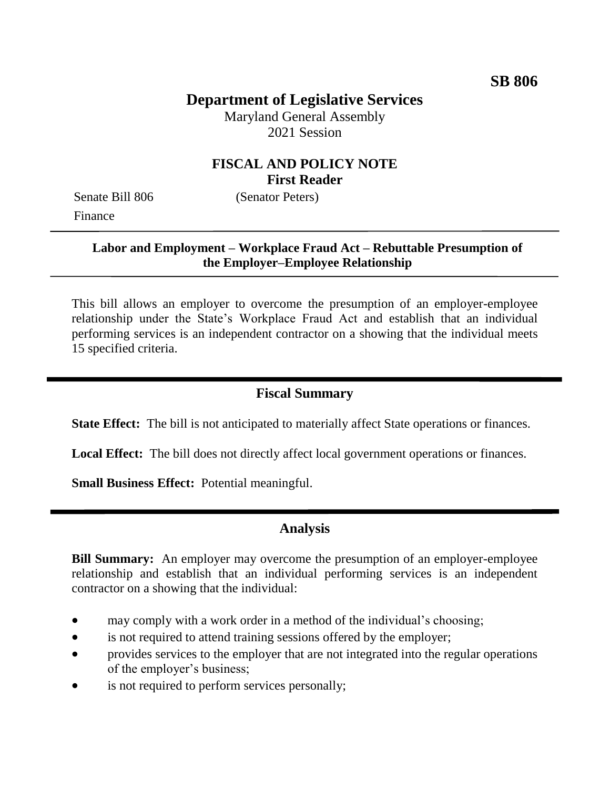# **Department of Legislative Services**

Maryland General Assembly 2021 Session

#### **FISCAL AND POLICY NOTE First Reader**

Senate Bill 806 (Senator Peters) Finance

#### **Labor and Employment – Workplace Fraud Act – Rebuttable Presumption of the Employer–Employee Relationship**

This bill allows an employer to overcome the presumption of an employer-employee relationship under the State's Workplace Fraud Act and establish that an individual performing services is an independent contractor on a showing that the individual meets 15 specified criteria.

## **Fiscal Summary**

**State Effect:** The bill is not anticipated to materially affect State operations or finances.

**Local Effect:** The bill does not directly affect local government operations or finances.

**Small Business Effect:** Potential meaningful.

## **Analysis**

**Bill Summary:** An employer may overcome the presumption of an employer-employee relationship and establish that an individual performing services is an independent contractor on a showing that the individual:

- may comply with a work order in a method of the individual's choosing;
- is not required to attend training sessions offered by the employer;
- provides services to the employer that are not integrated into the regular operations of the employer's business;
- is not required to perform services personally;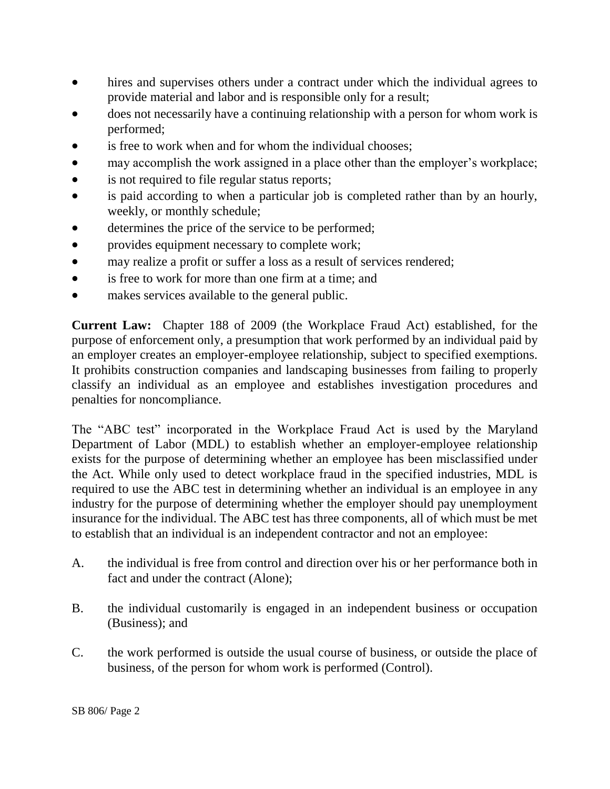- hires and supervises others under a contract under which the individual agrees to provide material and labor and is responsible only for a result;
- does not necessarily have a continuing relationship with a person for whom work is performed;
- is free to work when and for whom the individual chooses;
- may accomplish the work assigned in a place other than the employer's workplace;
- is not required to file regular status reports;
- is paid according to when a particular job is completed rather than by an hourly, weekly, or monthly schedule;
- determines the price of the service to be performed;
- provides equipment necessary to complete work;
- may realize a profit or suffer a loss as a result of services rendered;
- is free to work for more than one firm at a time: and
- makes services available to the general public.

**Current Law:** Chapter 188 of 2009 (the Workplace Fraud Act) established, for the purpose of enforcement only, a presumption that work performed by an individual paid by an employer creates an employer-employee relationship, subject to specified exemptions. It prohibits construction companies and landscaping businesses from failing to properly classify an individual as an employee and establishes investigation procedures and penalties for noncompliance.

The "ABC test" incorporated in the Workplace Fraud Act is used by the Maryland Department of Labor (MDL) to establish whether an employer-employee relationship exists for the purpose of determining whether an employee has been misclassified under the Act. While only used to detect workplace fraud in the specified industries, MDL is required to use the ABC test in determining whether an individual is an employee in any industry for the purpose of determining whether the employer should pay unemployment insurance for the individual. The ABC test has three components, all of which must be met to establish that an individual is an independent contractor and not an employee:

- A. the individual is free from control and direction over his or her performance both in fact and under the contract (Alone);
- B. the individual customarily is engaged in an independent business or occupation (Business); and
- C. the work performed is outside the usual course of business, or outside the place of business, of the person for whom work is performed (Control).